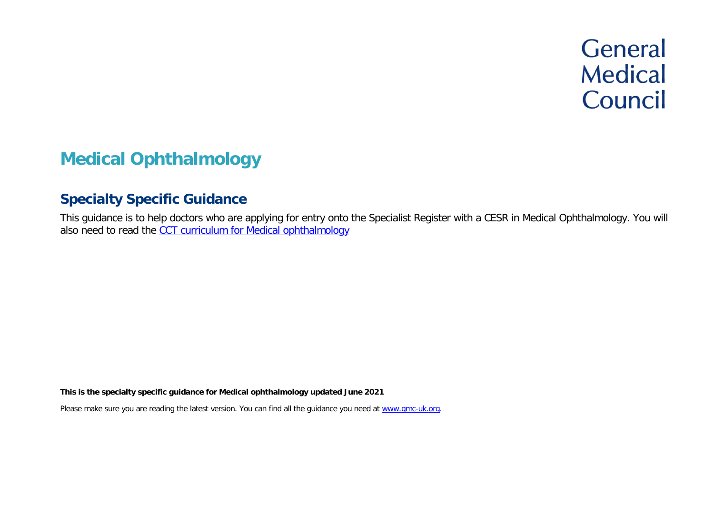# **General Medical** Council

# **Medical Ophthalmology**

# **Specialty Specific Guidance**

This guidance is to help doctors who are applying for entry onto the Specialist Register with a CESR in Medical Ophthalmology. You will also need to read the [CCT curriculum for Medical ophthalmology](https://www.gmc-uk.org/education/standards-guidance-and-curricula/curricula%23T)

**This is the specialty specific guidance for Medical ophthalmology updated June 2021**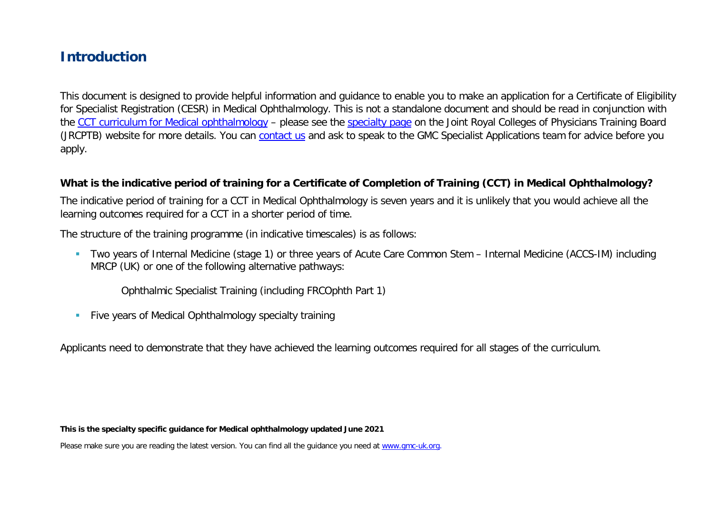# **Introduction**

This document is designed to provide helpful information and guidance to enable you to make an application for a Certificate of Eligibility for Specialist Registration (CESR) in Medical Ophthalmology. This is not a standalone document and should be read in conjunction with the [CCT curriculum for Medical ophthalmology](https://www.gmc-uk.org/education/standards-guidance-and-curricula/curricula#T) – please see the [specialty page](https://www.jrcptb.org.uk/specialties/medical-ophthalmology) on the Joint Royal Colleges of Physicians Training Board (JRCPTB) website for more details. You can [contact us](http://www.gmc-uk.org/about/contacts.asp) and ask to speak to the GMC Specialist Applications team for advice before you apply.

#### **What is the indicative period of training for a Certificate of Completion of Training (CCT) in Medical Ophthalmology?**

The indicative period of training for a CCT in Medical Ophthalmology is seven years and it is unlikely that you would achieve all the learning outcomes required for a CCT in a shorter period of time.

The structure of the training programme (in indicative timescales) is as follows:

 Two years of Internal Medicine (stage 1) or three years of Acute Care Common Stem – Internal Medicine (ACCS-IM) including MRCP (UK) or one of the following alternative pathways:

Ophthalmic Specialist Training (including FRCOphth Part 1)

**Five years of Medical Ophthalmology specialty training** 

Applicants need to demonstrate that they have achieved the learning outcomes required for all stages of the curriculum.

**This is the specialty specific guidance for Medical ophthalmology updated June 2021**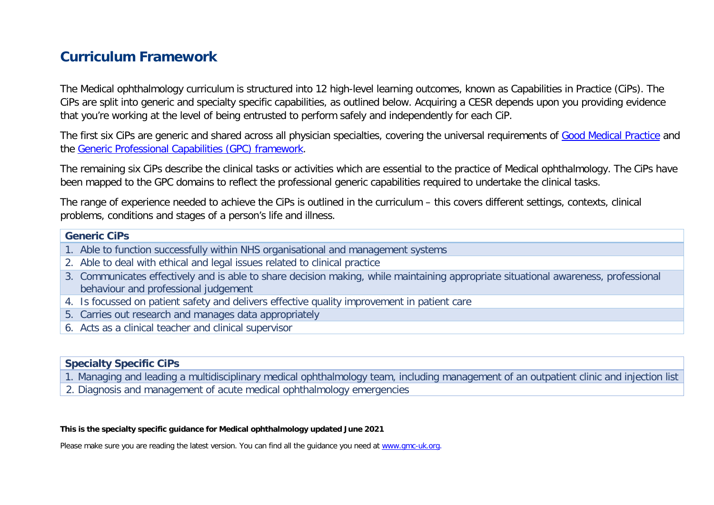# **Curriculum Framework**

The Medical ophthalmology curriculum is structured into 12 high-level learning outcomes, known as Capabilities in Practice (CiPs). The CiPs are split into generic and specialty specific capabilities, as outlined below. Acquiring a CESR depends upon you providing evidence that you're working at the level of being entrusted to perform safely and independently for each CiP.

The first six CiPs are generic and shared across all physician specialties, covering the universal requirements of [Good Medical Practice](https://www.gmc-uk.org/-/media/documents/good-medical-practice---english-20200128_pdf-51527435.pdf?la=en&hash=DA1263358CCA88F298785FE2BD7610EB4EE9A530) and the [Generic Professional Capabilities \(GPC\) framework.](https://www.gmc-uk.org/-/media/documents/generic-professional-capabilities-framework--0817_pdf-70417127.pdf)

The remaining six CiPs describe the clinical tasks or activities which are essential to the practice of Medical ophthalmology. The CiPs have been mapped to the GPC domains to reflect the professional generic capabilities required to undertake the clinical tasks.

The range of experience needed to achieve the CiPs is outlined in the curriculum – this covers different settings, contexts, clinical problems, conditions and stages of a person's life and illness.

#### **Generic CiPs**

- 1. Able to function successfully within NHS organisational and management systems
- 2. Able to deal with ethical and legal issues related to clinical practice
- 3. Communicates effectively and is able to share decision making, while maintaining appropriate situational awareness, professional behaviour and professional judgement
- 4. Is focussed on patient safety and delivers effective quality improvement in patient care
- 5. Carries out research and manages data appropriately
- 6. Acts as a clinical teacher and clinical supervisor

#### **Specialty Specific CiPs**

1. Managing and leading a multidisciplinary medical ophthalmology team, including management of an outpatient clinic and injection list

2. Diagnosis and management of acute medical ophthalmology emergencies

#### **This is the specialty specific guidance for Medical ophthalmology updated June 2021**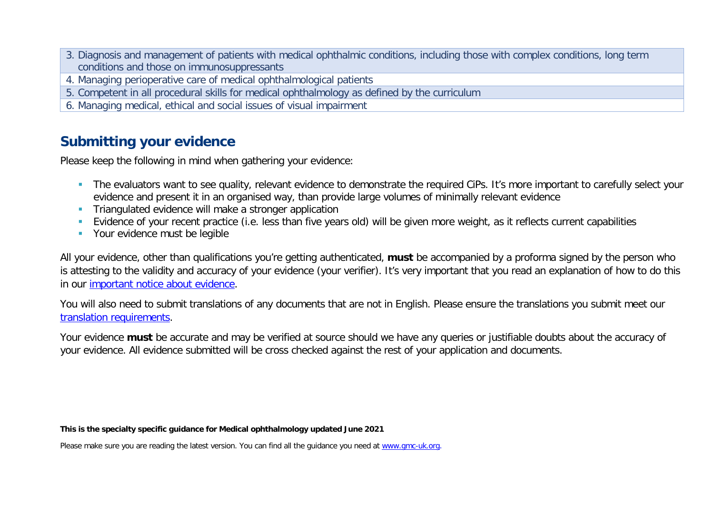- 3. Diagnosis and management of patients with medical ophthalmic conditions, including those with complex conditions, long term conditions and those on immunosuppressants
- 4. Managing perioperative care of medical ophthalmological patients
- 5. Competent in all procedural skills for medical ophthalmology as defined by the curriculum
- 6. Managing medical, ethical and social issues of visual impairment

# **Submitting your evidence**

Please keep the following in mind when gathering your evidence:

- The evaluators want to see quality, relevant evidence to demonstrate the required CiPs. It's more important to carefully select your evidence and present it in an organised way, than provide large volumes of minimally relevant evidence
- **Triangulated evidence will make a stronger application**
- Evidence of your recent practice (i.e. less than five years old) will be given more weight, as it reflects current capabilities
- **Your evidence must be legible**

All your evidence, other than qualifications you're getting authenticated, **must** be accompanied by a proforma signed by the person who is attesting to the validity and accuracy of your evidence (your verifier). It's very important that you read an explanation of how to do this in our [important notice about evidence.](http://www.gmc-uk.org/doctors/evidence_notice.asp)

You will also need to submit translations of any documents that are not in English. Please ensure the translations you submit meet our [translation requirements.](http://www.gmc-uk.org/doctors/translations.asp)

Your evidence **must** be accurate and may be verified at source should we have any queries or justifiable doubts about the accuracy of your evidence. All evidence submitted will be cross checked against the rest of your application and documents.

#### **This is the specialty specific guidance for Medical ophthalmology updated June 2021**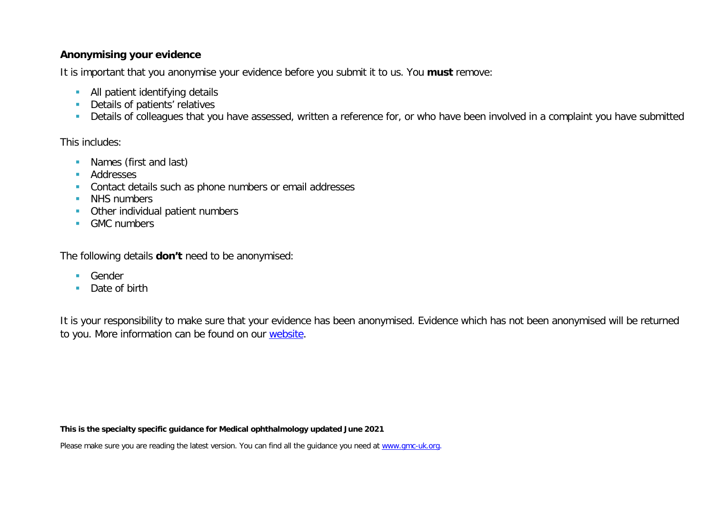#### **Anonymising your evidence**

It is important that you anonymise your evidence before you submit it to us. You **must** remove:

- **All patient identifying details**
- **Details of patients' relatives**
- Details of colleagues that you have assessed, written a reference for, or who have been involved in a complaint you have submitted

This includes:

- **Names (first and last)**
- **Addresses**
- **Contact details such as phone numbers or email addresses**
- **NHS numbers**
- **•** Other individual patient numbers
- GMC numbers

The following details **don't** need to be anonymised:

- **Gender**
- Date of birth

It is your responsibility to make sure that your evidence has been anonymised. Evidence which has not been anonymised will be returned to you. More information can be found on our [website.](https://www.gmc-uk.org/registration-and-licensing/join-the-register/registration-applications/cesr-cegpr-application-process/anonymisation)

**This is the specialty specific guidance for Medical ophthalmology updated June 2021**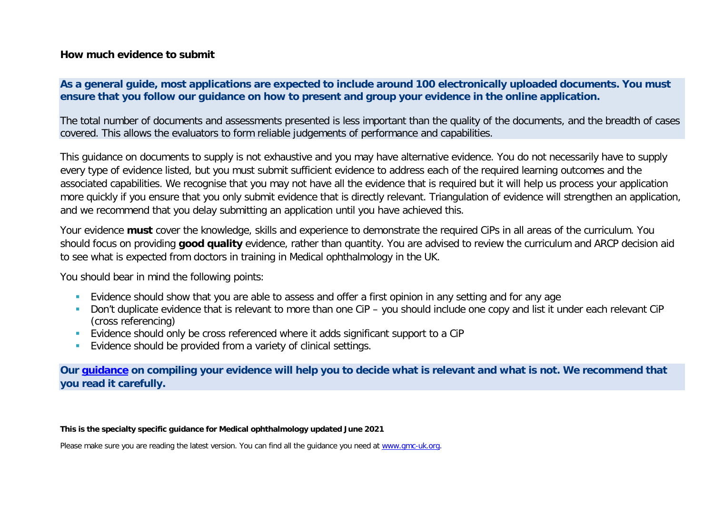#### **How much evidence to submit**

#### **As a general guide, most applications are expected to include around 100 electronically uploaded documents. You must ensure that you follow our guidance on how to present and group your evidence in the online application.**

The total number of documents and assessments presented is less important than the quality of the documents, and the breadth of cases covered. This allows the evaluators to form reliable judgements of performance and capabilities.

This guidance on documents to supply is not exhaustive and you may have alternative evidence. You do not necessarily have to supply every type of evidence listed, but you must submit sufficient evidence to address each of the required learning outcomes and the associated capabilities. We recognise that you may not have all the evidence that is required but it will help us process your application more quickly if you ensure that you only submit evidence that is directly relevant. Triangulation of evidence will strengthen an application, and we recommend that you delay submitting an application until you have achieved this.

Your evidence **must** cover the knowledge, skills and experience to demonstrate the required CiPs in all areas of the curriculum. You should focus on providing **good quality** evidence, rather than quantity. You are advised to review the curriculum and ARCP decision aid to see what is expected from doctors in training in Medical ophthalmology in the UK.

You should bear in mind the following points:

- **Evidence should show that you are able to assess and offer a first opinion in any setting and for any age**
- Don't duplicate evidence that is relevant to more than one CiP you should include one copy and list it under each relevant CiP (cross referencing)
- Evidence should only be cross referenced where it adds significant support to a CiP
- **Evidence should be provided from a variety of clinical settings.**

**Our [guidance](https://www.gmc-uk.org/-/media/documents/sat---cesr-cegpr-online-application---user-guide---dc11550_pdf-76194730.pdf) on compiling your evidence will help you to decide what is relevant and what is not. We recommend that you read it carefully.**

**This is the specialty specific guidance for Medical ophthalmology updated June 2021**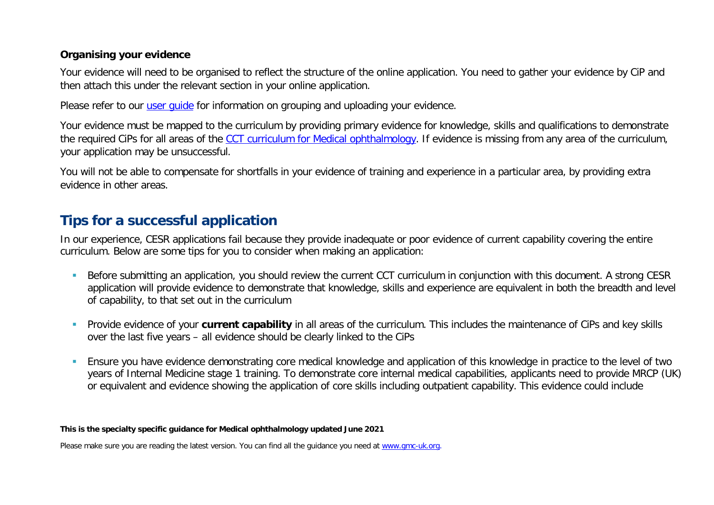#### **Organising your evidence**

Your evidence will need to be organised to reflect the structure of the online application. You need to gather your evidence by CiP and then attach this under the relevant section in your online application.

Please refer to our user quide for information on grouping and uploading your evidence.

Your evidence must be mapped to the curriculum by providing primary evidence for knowledge, skills and qualifications to demonstrate the required CiPs for all areas of the [CCT curriculum for Medical ophthalmology.](https://www.gmc-uk.org/education/standards-guidance-and-curricula/curricula#T) If evidence is missing from any area of the curriculum, your application may be unsuccessful.

You will not be able to compensate for shortfalls in your evidence of training and experience in a particular area, by providing extra evidence in other areas.

# **Tips for a successful application**

In our experience, CESR applications fail because they provide inadequate or poor evidence of current capability covering the entire curriculum. Below are some tips for you to consider when making an application:

- Before submitting an application, you should review the current CCT curriculum in conjunction with this document. A strong CESR application will provide evidence to demonstrate that knowledge, skills and experience are equivalent in both the breadth and level of capability, to that set out in the curriculum
- Provide evidence of your **current capability** in all areas of the curriculum. This includes the maintenance of CiPs and key skills over the last five years – all evidence should be clearly linked to the CiPs
- Ensure you have evidence demonstrating core medical knowledge and application of this knowledge in practice to the level of two years of Internal Medicine stage 1 training. To demonstrate core internal medical capabilities, applicants need to provide MRCP (UK) or equivalent and evidence showing the application of core skills including outpatient capability. This evidence could include

#### **This is the specialty specific guidance for Medical ophthalmology updated June 2021**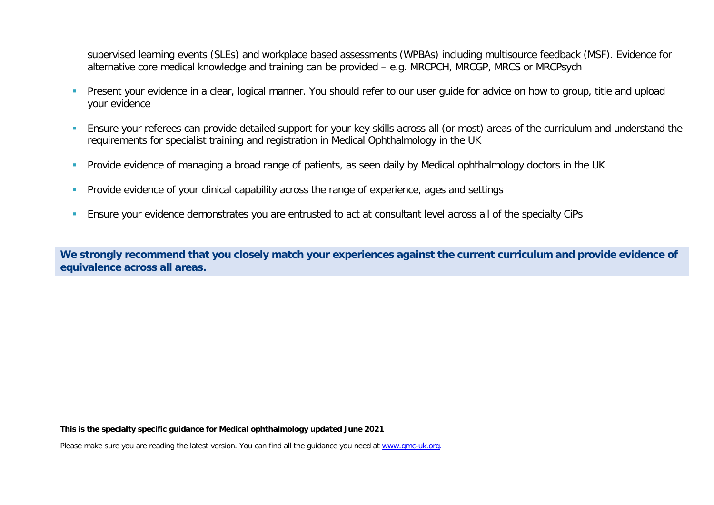supervised learning events (SLEs) and workplace based assessments (WPBAs) including multisource feedback (MSF). Evidence for alternative core medical knowledge and training can be provided – e.g. MRCPCH, MRCGP, MRCS or MRCPsych

- **Present your evidence in a clear, logical manner. You should refer to our user quide for advice on how to group, title and upload in Present Vour evidence in a clear, logical manner. You should refer to our user quide for** your evidence
- Ensure your referees can provide detailed support for your key skills across all (or most) areas of the curriculum and understand the requirements for specialist training and registration in Medical Ophthalmology in the UK
- **Provide evidence of managing a broad range of patients, as seen daily by Medical ophthalmology doctors in the UK**
- **Provide evidence of your clinical capability across the range of experience, ages and settings**
- Ensure your evidence demonstrates you are entrusted to act at consultant level across all of the specialty CiPs

**We strongly recommend that you closely match your experiences against the current curriculum and provide evidence of equivalence across all areas.** 

**This is the specialty specific guidance for Medical ophthalmology updated June 2021**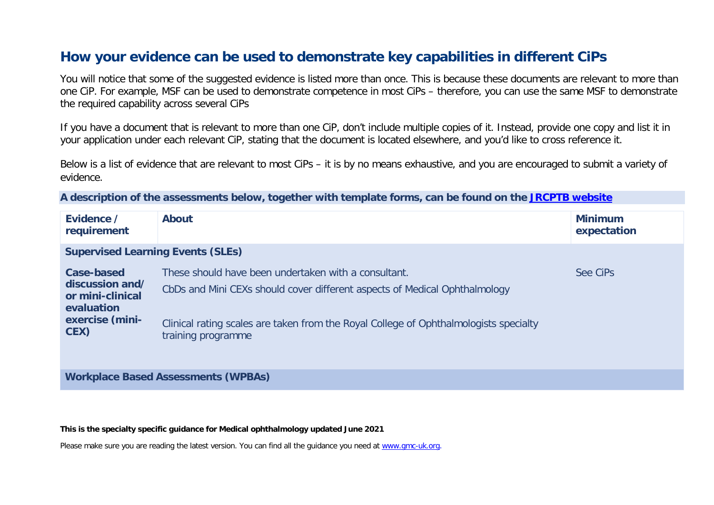## **How your evidence can be used to demonstrate key capabilities in different CiPs**

You will notice that some of the suggested evidence is listed more than once. This is because these documents are relevant to more than one CiP. For example, MSF can be used to demonstrate competence in most CiPs – therefore, you can use the same MSF to demonstrate the required capability across several CiPs

If you have a document that is relevant to more than one CiP, don't include multiple copies of it. Instead, provide one copy and list it in your application under each relevant CiP, stating that the document is located elsewhere, and you'd like to cross reference it.

Below is a list of evidence that are relevant to most CiPs – it is by no means exhaustive, and you are encouraged to submit a variety of evidence.

**A description of the assessments below, together with template forms, can be found on the [JRCPTB website](https://www.jrcptb.org.uk/assessment/workplace-based-assessment)**

| Evidence /<br>requirement                                                                  | <b>About</b>                                                                                                                                                                                                                                      | <b>Minimum</b><br>expectation |
|--------------------------------------------------------------------------------------------|---------------------------------------------------------------------------------------------------------------------------------------------------------------------------------------------------------------------------------------------------|-------------------------------|
| <b>Supervised Learning Events (SLEs)</b>                                                   |                                                                                                                                                                                                                                                   |                               |
| Case-based<br>discussion and/<br>or mini-clinical<br>evaluation<br>exercise (mini-<br>CEX) | These should have been undertaken with a consultant.<br>CbDs and Mini CEXs should cover different aspects of Medical Ophthalmology<br>Clinical rating scales are taken from the Royal College of Ophthalmologists specialty<br>training programme | See CiPs                      |
| <b>Workplace Based Assessments (WPBAs)</b>                                                 |                                                                                                                                                                                                                                                   |                               |

**This is the specialty specific guidance for Medical ophthalmology updated June 2021**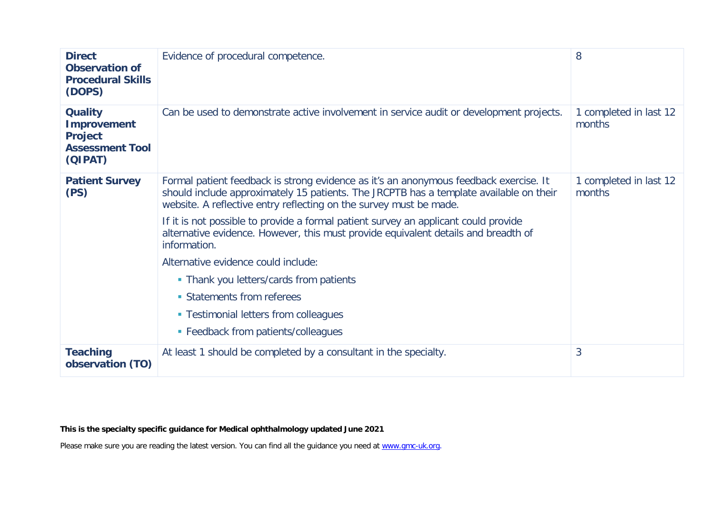| <b>Direct</b><br><b>Observation of</b><br><b>Procedural Skills</b><br>(DOPS)                | Evidence of procedural competence.                                                                                                                                                                                                                                                                                                                                                                                                                                                                                                                                                                                                                 | 8                                |
|---------------------------------------------------------------------------------------------|----------------------------------------------------------------------------------------------------------------------------------------------------------------------------------------------------------------------------------------------------------------------------------------------------------------------------------------------------------------------------------------------------------------------------------------------------------------------------------------------------------------------------------------------------------------------------------------------------------------------------------------------------|----------------------------------|
| <b>Quality</b><br><b>Improvement</b><br><b>Project</b><br><b>Assessment Tool</b><br>(QIPAT) | Can be used to demonstrate active involvement in service audit or development projects.                                                                                                                                                                                                                                                                                                                                                                                                                                                                                                                                                            | 1 completed in last 12<br>months |
| <b>Patient Survey</b><br>(PS)                                                               | Formal patient feedback is strong evidence as it's an anonymous feedback exercise. It<br>should include approximately 15 patients. The JRCPTB has a template available on their<br>website. A reflective entry reflecting on the survey must be made.<br>If it is not possible to provide a formal patient survey an applicant could provide<br>alternative evidence. However, this must provide equivalent details and breadth of<br>information.<br>Alternative evidence could include:<br>• Thank you letters/cards from patients<br>• Statements from referees<br>• Testimonial letters from colleagues<br>• Feedback from patients/colleagues | 1 completed in last 12<br>months |
| <b>Teaching</b><br>observation (TO)                                                         | At least 1 should be completed by a consultant in the specialty.                                                                                                                                                                                                                                                                                                                                                                                                                                                                                                                                                                                   | 3                                |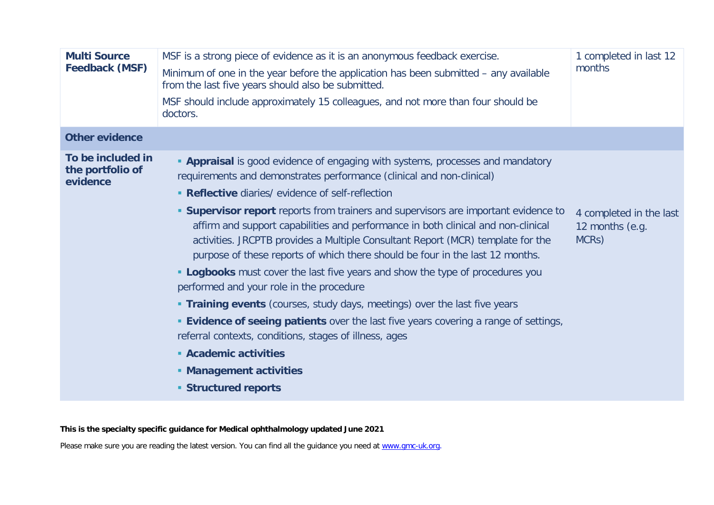| <b>Multi Source</b><br><b>Feedback (MSF)</b>      | MSF is a strong piece of evidence as it is an anonymous feedback exercise.<br>Minimum of one in the year before the application has been submitted – any available<br>from the last five years should also be submitted.<br>MSF should include approximately 15 colleagues, and not more than four should be<br>doctors.                                                                                                                                                                                                                                                                                                                                                                                                                                                                                                                                                                                                                                                                                                    | 1 completed in last 12<br>months                                 |
|---------------------------------------------------|-----------------------------------------------------------------------------------------------------------------------------------------------------------------------------------------------------------------------------------------------------------------------------------------------------------------------------------------------------------------------------------------------------------------------------------------------------------------------------------------------------------------------------------------------------------------------------------------------------------------------------------------------------------------------------------------------------------------------------------------------------------------------------------------------------------------------------------------------------------------------------------------------------------------------------------------------------------------------------------------------------------------------------|------------------------------------------------------------------|
| <b>Other evidence</b>                             |                                                                                                                                                                                                                                                                                                                                                                                                                                                                                                                                                                                                                                                                                                                                                                                                                                                                                                                                                                                                                             |                                                                  |
| To be included in<br>the portfolio of<br>evidence | <b>- Appraisal</b> is good evidence of engaging with systems, processes and mandatory<br>requirements and demonstrates performance (clinical and non-clinical)<br>• Reflective diaries/ evidence of self-reflection<br><b>Supervisor report</b> reports from trainers and supervisors are important evidence to<br>affirm and support capabilities and performance in both clinical and non-clinical<br>activities. JRCPTB provides a Multiple Consultant Report (MCR) template for the<br>purpose of these reports of which there should be four in the last 12 months.<br>" Logbooks must cover the last five years and show the type of procedures you<br>performed and your role in the procedure<br><b>Training events</b> (courses, study days, meetings) over the last five years<br><b>Evidence of seeing patients</b> over the last five years covering a range of settings,<br>referral contexts, conditions, stages of illness, ages<br>• Academic activities<br>• Management activities<br>• Structured reports | 4 completed in the last<br>12 months (e.g.<br>MCR <sub>S</sub> ) |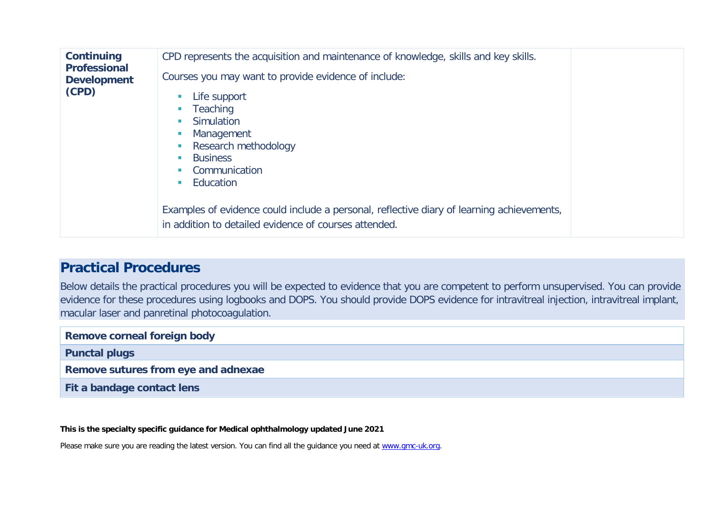| <b>Continuing</b><br><b>Professional</b><br><b>Development</b><br>(CPD) | CPD represents the acquisition and maintenance of knowledge, skills and key skills.<br>Courses you may want to provide evidence of include:<br>Life support<br>Teaching<br>$\mathcal{L}_{\mathcal{A}}$<br>Simulation<br>Management<br>Research methodology<br><b>Business</b><br><b>In</b><br>Communication<br>Education<br><b>COL</b> |  |
|-------------------------------------------------------------------------|----------------------------------------------------------------------------------------------------------------------------------------------------------------------------------------------------------------------------------------------------------------------------------------------------------------------------------------|--|
|                                                                         | Examples of evidence could include a personal, reflective diary of learning achievements,<br>in addition to detailed evidence of courses attended.                                                                                                                                                                                     |  |

## **Practical Procedures**

Below details the practical procedures you will be expected to evidence that you are competent to perform unsupervised. You can provide evidence for these procedures using logbooks and DOPS. You should provide DOPS evidence for intravitreal injection, intravitreal implant, macular laser and panretinal photocoagulation.

| <b>Remove corneal foreign body</b>  |  |  |
|-------------------------------------|--|--|
| <b>Punctal plugs</b>                |  |  |
| Remove sutures from eye and adnexae |  |  |
| Fit a bandage contact lens          |  |  |

**This is the specialty specific guidance for Medical ophthalmology updated June 2021**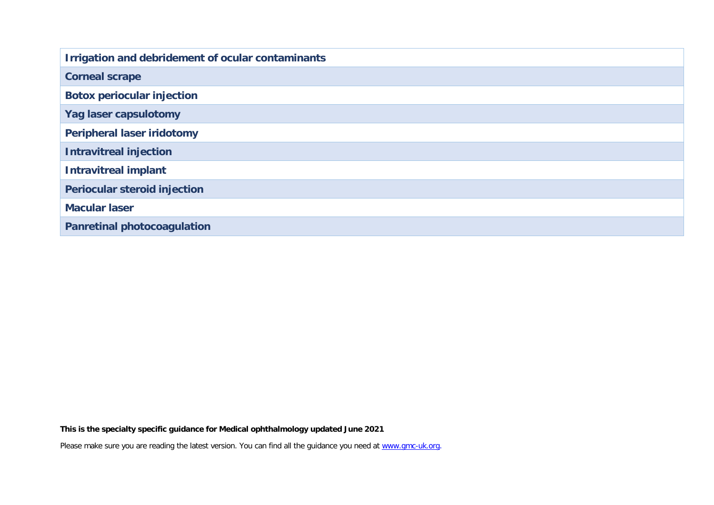| Irrigation and debridement of ocular contaminants |  |  |
|---------------------------------------------------|--|--|
| <b>Corneal scrape</b>                             |  |  |
| <b>Botox periocular injection</b>                 |  |  |
| Yag laser capsulotomy                             |  |  |
| <b>Peripheral laser iridotomy</b>                 |  |  |
| <b>Intravitreal injection</b>                     |  |  |
| <b>Intravitreal implant</b>                       |  |  |
| <b>Periocular steroid injection</b>               |  |  |
| <b>Macular laser</b>                              |  |  |
| <b>Panretinal photocoagulation</b>                |  |  |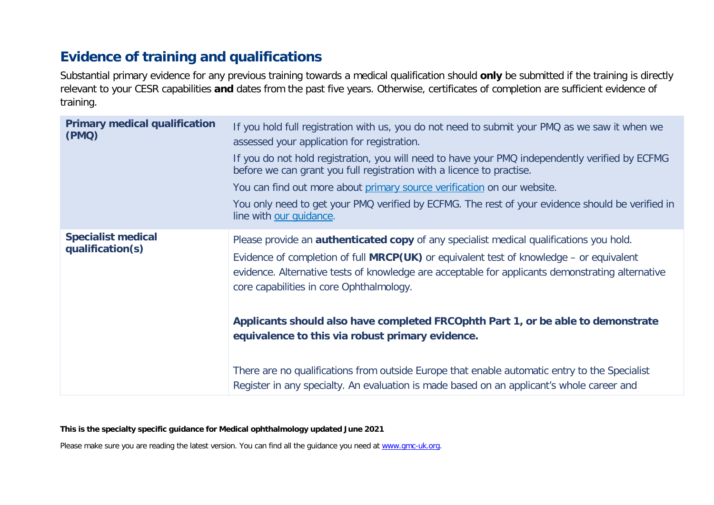# **Evidence of training and qualifications**

Substantial primary evidence for any previous training towards a medical qualification should **only** be submitted if the training is directly relevant to your CESR capabilities **and** dates from the past five years. Otherwise, certificates of completion are sufficient evidence of training.

| <b>Primary medical qualification</b><br>(PMQ) | If you hold full registration with us, you do not need to submit your PMQ as we saw it when we<br>assessed your application for registration.                                                                                                                                                                                             |
|-----------------------------------------------|-------------------------------------------------------------------------------------------------------------------------------------------------------------------------------------------------------------------------------------------------------------------------------------------------------------------------------------------|
|                                               | If you do not hold registration, you will need to have your PMQ independently verified by ECFMG<br>before we can grant you full registration with a licence to practise.                                                                                                                                                                  |
|                                               | You can find out more about primary source verification on our website.                                                                                                                                                                                                                                                                   |
|                                               | You only need to get your PMQ verified by ECFMG. The rest of your evidence should be verified in<br>line with our quidance.                                                                                                                                                                                                               |
| <b>Specialist medical</b><br>qualification(s) | Please provide an <b>authenticated copy</b> of any specialist medical qualifications you hold.<br>Evidence of completion of full MRCP(UK) or equivalent test of knowledge - or equivalent<br>evidence. Alternative tests of knowledge are acceptable for applicants demonstrating alternative<br>core capabilities in core Ophthalmology. |
|                                               | Applicants should also have completed FRCOphth Part 1, or be able to demonstrate<br>equivalence to this via robust primary evidence.                                                                                                                                                                                                      |
|                                               | There are no qualifications from outside Europe that enable automatic entry to the Specialist<br>Register in any specialty. An evaluation is made based on an applicant's whole career and                                                                                                                                                |

**This is the specialty specific guidance for Medical ophthalmology updated June 2021**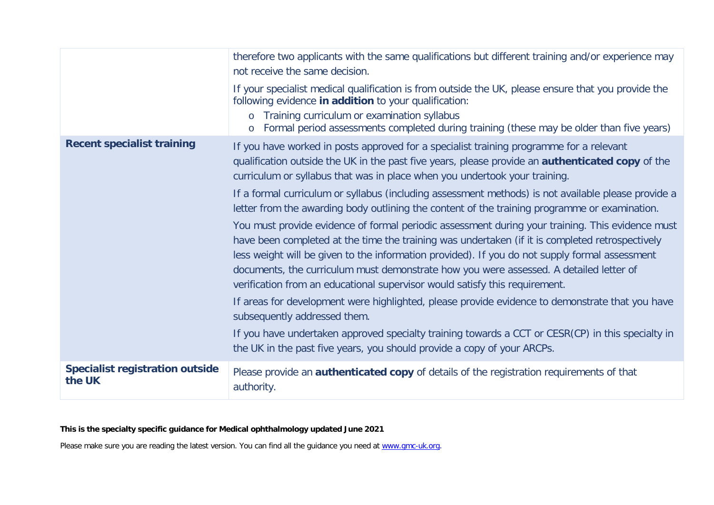|                                                  | therefore two applicants with the same qualifications but different training and/or experience may<br>not receive the same decision.                                                                                                                                                                                                                                                                                                                                                                                                                                              |
|--------------------------------------------------|-----------------------------------------------------------------------------------------------------------------------------------------------------------------------------------------------------------------------------------------------------------------------------------------------------------------------------------------------------------------------------------------------------------------------------------------------------------------------------------------------------------------------------------------------------------------------------------|
|                                                  | If your specialist medical qualification is from outside the UK, please ensure that you provide the<br>following evidence in addition to your qualification:<br>Training curriculum or examination syllabus<br>$\circ$<br>Formal period assessments completed during training (these may be older than five years)<br>$\circ$                                                                                                                                                                                                                                                     |
| <b>Recent specialist training</b>                | If you have worked in posts approved for a specialist training programme for a relevant<br>qualification outside the UK in the past five years, please provide an <b>authenticated copy</b> of the<br>curriculum or syllabus that was in place when you undertook your training.                                                                                                                                                                                                                                                                                                  |
|                                                  | If a formal curriculum or syllabus (including assessment methods) is not available please provide a<br>letter from the awarding body outlining the content of the training programme or examination.                                                                                                                                                                                                                                                                                                                                                                              |
|                                                  | You must provide evidence of formal periodic assessment during your training. This evidence must<br>have been completed at the time the training was undertaken (if it is completed retrospectively<br>less weight will be given to the information provided). If you do not supply formal assessment<br>documents, the curriculum must demonstrate how you were assessed. A detailed letter of<br>verification from an educational supervisor would satisfy this requirement.<br>If areas for development were highlighted, please provide evidence to demonstrate that you have |
|                                                  | subsequently addressed them.<br>If you have undertaken approved specialty training towards a CCT or CESR(CP) in this specialty in<br>the UK in the past five years, you should provide a copy of your ARCPs.                                                                                                                                                                                                                                                                                                                                                                      |
| <b>Specialist registration outside</b><br>the UK | Please provide an <b>authenticated copy</b> of details of the registration requirements of that<br>authority.                                                                                                                                                                                                                                                                                                                                                                                                                                                                     |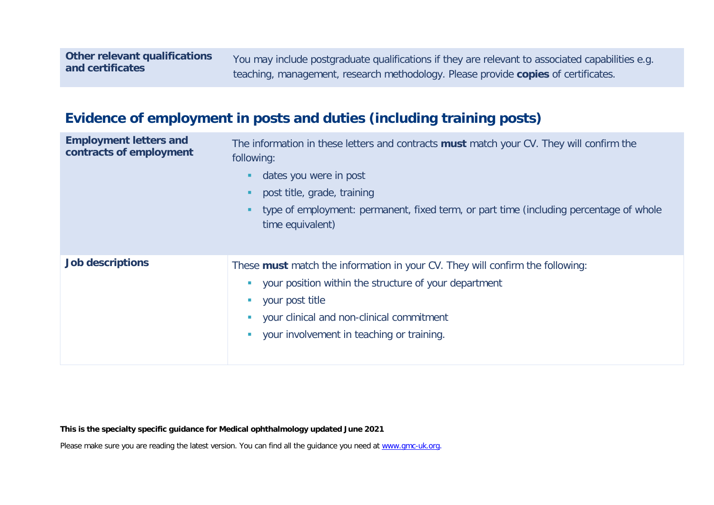You may include postgraduate qualifications if they are relevant to associated capabilities e.g. teaching, management, research methodology. Please provide **copies** of certificates.

# **Evidence of employment in posts and duties (including training posts)**

| <b>Employment letters and</b><br>contracts of employment | The information in these letters and contracts must match your CV. They will confirm the<br>following:<br>dates you were in post<br>post title, grade, training<br>type of employment: permanent, fixed term, or part time (including percentage of whole<br>time equivalent) |
|----------------------------------------------------------|-------------------------------------------------------------------------------------------------------------------------------------------------------------------------------------------------------------------------------------------------------------------------------|
| <b>Job descriptions</b>                                  | These must match the information in your CV. They will confirm the following:<br>your position within the structure of your department<br>your post title<br>your clinical and non-clinical commitment<br>your involvement in teaching or training.                           |

**This is the specialty specific guidance for Medical ophthalmology updated June 2021**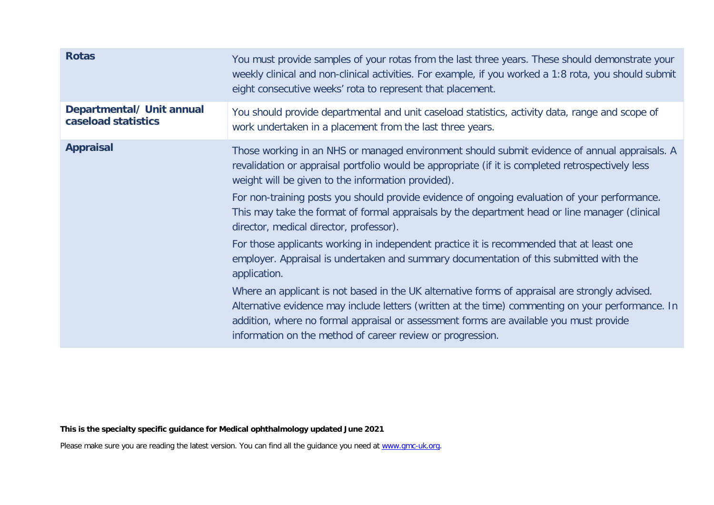| <b>Rotas</b>                                     | You must provide samples of your rotas from the last three years. These should demonstrate your<br>weekly clinical and non-clinical activities. For example, if you worked a 1:8 rota, you should submit<br>eight consecutive weeks' rota to represent that placement.                                                                                      |
|--------------------------------------------------|-------------------------------------------------------------------------------------------------------------------------------------------------------------------------------------------------------------------------------------------------------------------------------------------------------------------------------------------------------------|
| Departmental/ Unit annual<br>caseload statistics | You should provide departmental and unit caseload statistics, activity data, range and scope of<br>work undertaken in a placement from the last three years.                                                                                                                                                                                                |
| <b>Appraisal</b>                                 | Those working in an NHS or managed environment should submit evidence of annual appraisals. A<br>revalidation or appraisal portfolio would be appropriate (if it is completed retrospectively less<br>weight will be given to the information provided).                                                                                                    |
|                                                  | For non-training posts you should provide evidence of ongoing evaluation of your performance.<br>This may take the format of formal appraisals by the department head or line manager (clinical<br>director, medical director, professor).                                                                                                                  |
|                                                  | For those applicants working in independent practice it is recommended that at least one<br>employer. Appraisal is undertaken and summary documentation of this submitted with the<br>application.                                                                                                                                                          |
|                                                  | Where an applicant is not based in the UK alternative forms of appraisal are strongly advised.<br>Alternative evidence may include letters (written at the time) commenting on your performance. In<br>addition, where no formal appraisal or assessment forms are available you must provide<br>information on the method of career review or progression. |
|                                                  |                                                                                                                                                                                                                                                                                                                                                             |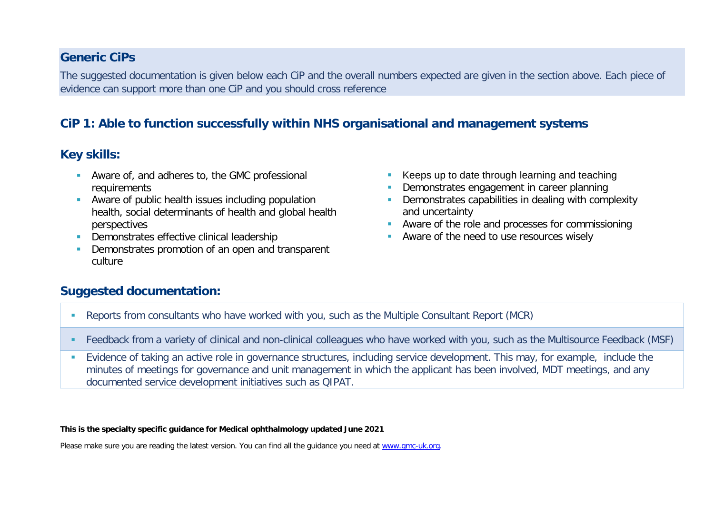#### **Generic CiPs**

The suggested documentation is given below each CiP and the overall numbers expected are given in the section above. Each piece of evidence can support more than one CiP and you should cross reference

## **CiP 1: Able to function successfully within NHS organisational and management systems**

#### **Key skills:**

- **Aware of, and adheres to, the GMC professional** requirements
- Aware of public health issues including population health, social determinants of health and global health perspectives
- **Demonstrates effective clinical leadership**
- Demonstrates promotion of an open and transparent culture
- Keeps up to date through learning and teaching
- Demonstrates engagement in career planning
- **-** Demonstrates capabilities in dealing with complexity and uncertainty
- **Aware of the role and processes for commissioning**
- Aware of the need to use resources wisely

#### **Suggested documentation:**

- Reports from consultants who have worked with you, such as the Multiple Consultant Report (MCR)
- Feedback from a variety of clinical and non-clinical colleagues who have worked with you, such as the Multisource Feedback (MSF)
- Evidence of taking an active role in governance structures, including service development. This may, for example, include the minutes of meetings for governance and unit management in which the applicant has been involved, MDT meetings, and any documented service development initiatives such as QIPAT.

**This is the specialty specific guidance for Medical ophthalmology updated June 2021**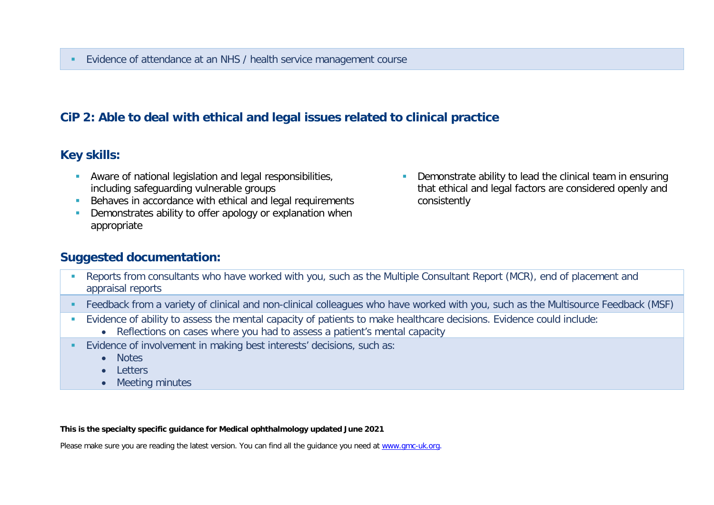## **CiP 2: Able to deal with ethical and legal issues related to clinical practice**

#### **Key skills:**

- Aware of national legislation and legal responsibilities, including safeguarding vulnerable groups
- Behaves in accordance with ethical and legal requirements
- **Demonstrates ability to offer apology or explanation when** appropriate
- **Demonstrate ability to lead the clinical team in ensuring** that ethical and legal factors are considered openly and consistently

#### **Suggested documentation:**

- Reports from consultants who have worked with you, such as the Multiple Consultant Report (MCR), end of placement and appraisal reports
- Feedback from a variety of clinical and non-clinical colleagues who have worked with you, such as the Multisource Feedback (MSF)
- Evidence of ability to assess the mental capacity of patients to make healthcare decisions. Evidence could include:
	- Reflections on cases where you had to assess a patient's mental capacity
- Evidence of involvement in making best interests' decisions, such as:
	- Notes
	- Letters
	- Meeting minutes

**This is the specialty specific guidance for Medical ophthalmology updated June 2021**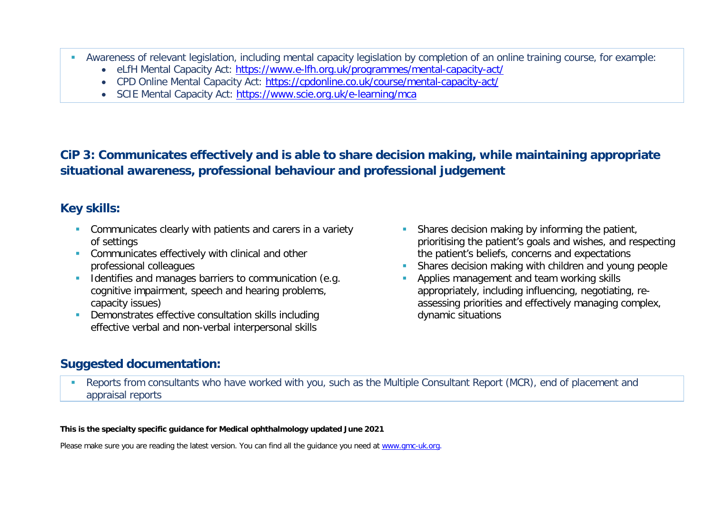- Awareness of relevant legislation, including mental capacity legislation by completion of an online training course, for example:
	- eLfH Mental Capacity Act:<https://www.e-lfh.org.uk/programmes/mental-capacity-act/>
	- CPD Online Mental Capacity Act:<https://cpdonline.co.uk/course/mental-capacity-act/>
	- SCIE Mental Capacity Act:<https://www.scie.org.uk/e-learning/mca>

# **CiP 3: Communicates effectively and is able to share decision making, while maintaining appropriate situational awareness, professional behaviour and professional judgement**

## **Key skills:**

- **Communicates clearly with patients and carers in a variety** of settings
- **Communicates effectively with clinical and other** professional colleagues
- Identifies and manages barriers to communication (e.g. cognitive impairment, speech and hearing problems, capacity issues)
- **Demonstrates effective consultation skills including** effective verbal and non-verbal interpersonal skills
- **Shares decision making by informing the patient,** prioritising the patient's goals and wishes, and respecting the patient's beliefs, concerns and expectations
- Shares decision making with children and young people
- Applies management and team working skills appropriately, including influencing, negotiating, reassessing priorities and effectively managing complex, dynamic situations

## **Suggested documentation:**

 Reports from consultants who have worked with you, such as the Multiple Consultant Report (MCR), end of placement and appraisal reports

#### **This is the specialty specific guidance for Medical ophthalmology updated June 2021**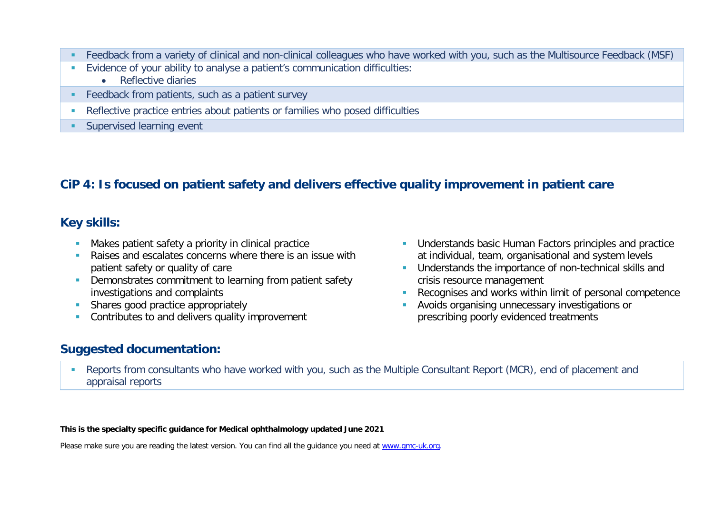- Feedback from a variety of clinical and non-clinical colleagues who have worked with you, such as the Multisource Feedback (MSF)
- Evidence of your ability to analyse a patient's communication difficulties:
	- Reflective diaries
- **Feedback from patients, such as a patient survey**
- Reflective practice entries about patients or families who posed difficulties
- **Supervised learning event**

## **CiP 4: Is focused on patient safety and delivers effective quality improvement in patient care**

#### **Key skills:**

- **Makes patient safety a priority in clinical practice**
- **Raises and escalates concerns where there is an issue with** patient safety or quality of care
- **Demonstrates commitment to learning from patient safety** investigations and complaints
- Shares good practice appropriately
- Contributes to and delivers quality improvement

## **Suggested documentation:**

- **Understands basic Human Factors principles and practice** at individual, team, organisational and system levels
- **Understands the importance of non-technical skills and** crisis resource management
- Recognises and works within limit of personal competence
- Avoids organising unnecessary investigations or prescribing poorly evidenced treatments
- Reports from consultants who have worked with you, such as the Multiple Consultant Report (MCR), end of placement and appraisal reports

**This is the specialty specific guidance for Medical ophthalmology updated June 2021**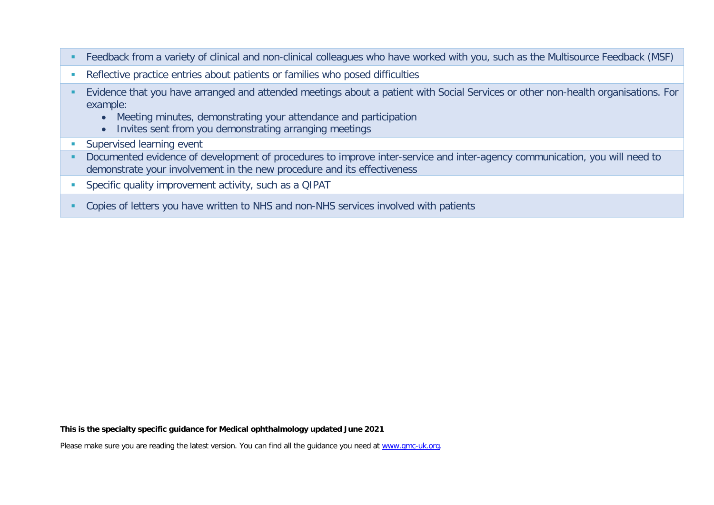- Feedback from a variety of clinical and non-clinical colleagues who have worked with you, such as the Multisource Feedback (MSF)
- Reflective practice entries about patients or families who posed difficulties
- Evidence that you have arranged and attended meetings about a patient with Social Services or other non-health organisations. For example:
	- Meeting minutes, demonstrating your attendance and participation
	- Invites sent from you demonstrating arranging meetings
- **Supervised learning event**
- Documented evidence of development of procedures to improve inter-service and inter-agency communication, you will need to demonstrate your involvement in the new procedure and its effectiveness
- **Specific quality improvement activity, such as a QIPAT**
- Copies of letters you have written to NHS and non-NHS services involved with patients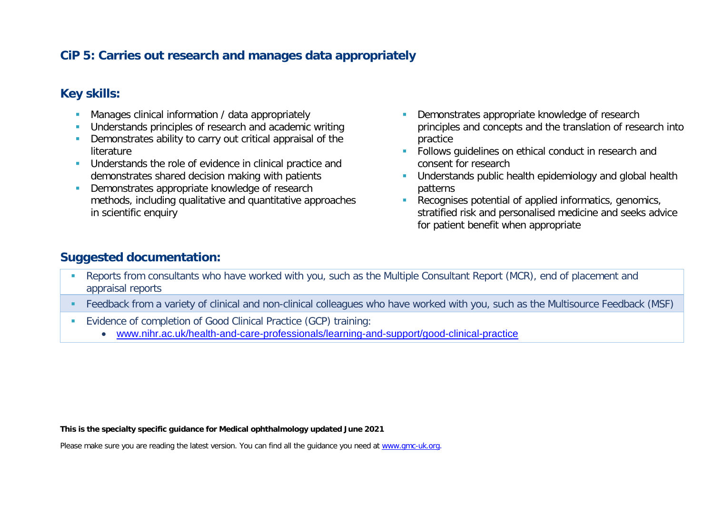## **CiP 5: Carries out research and manages data appropriately**

#### **Key skills:**

- **Manages clinical information / data appropriately**
- **Understands principles of research and academic writing**
- **•** Demonstrates ability to carry out critical appraisal of the literature
- **Understands the role of evidence in clinical practice and** demonstrates shared decision making with patients
- Demonstrates appropriate knowledge of research methods, including qualitative and quantitative approaches in scientific enquiry
- Demonstrates appropriate knowledge of research principles and concepts and the translation of research into practice
- **Follows quidelines on ethical conduct in research and** consent for research
- **Understands public health epidemiology and global health** patterns
- Recognises potential of applied informatics, genomics, stratified risk and personalised medicine and seeks advice for patient benefit when appropriate

#### **Suggested documentation:**

- Reports from consultants who have worked with you, such as the Multiple Consultant Report (MCR), end of placement and appraisal reports
- Feedback from a variety of clinical and non-clinical colleagues who have worked with you, such as the Multisource Feedback (MSF)
- Evidence of completion of Good Clinical Practice (GCP) training:
	- [www.nihr.ac.uk/health-and-care-professionals/learning-and-support/good-clinical-practice](https://www.nihr.ac.uk/health-and-care-professionals/learning-and-support/good-clinical-practice.htm)

**This is the specialty specific guidance for Medical ophthalmology updated June 2021**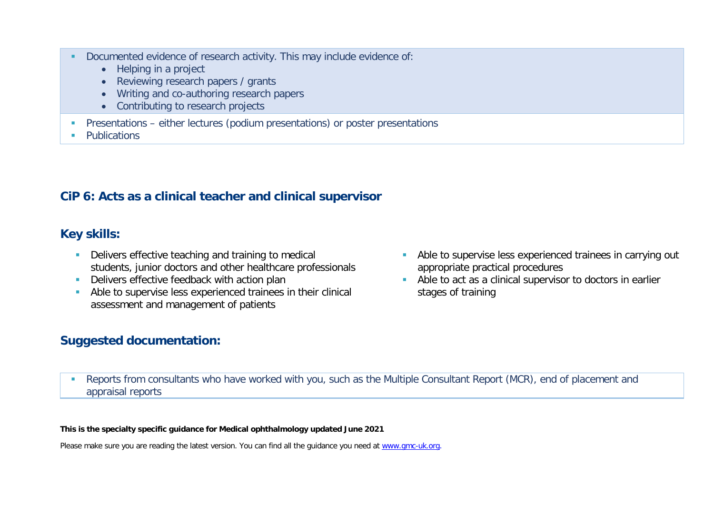- Documented evidence of research activity. This may include evidence of:
	- Helping in a project
	- Reviewing research papers / grants
	- Writing and co-authoring research papers
	- Contributing to research projects
- Presentations either lectures (podium presentations) or poster presentations
- **Publications**

## **CiP 6: Acts as a clinical teacher and clinical supervisor**

#### **Key skills:**

- Delivers effective teaching and training to medical students, junior doctors and other healthcare professionals
- Delivers effective feedback with action plan
- Able to supervise less experienced trainees in their clinical assessment and management of patients
- **Able to supervise less experienced trainees in carrying out** appropriate practical procedures
- Able to act as a clinical supervisor to doctors in earlier stages of training

## **Suggested documentation:**

 Reports from consultants who have worked with you, such as the Multiple Consultant Report (MCR), end of placement and appraisal reports

#### **This is the specialty specific guidance for Medical ophthalmology updated June 2021**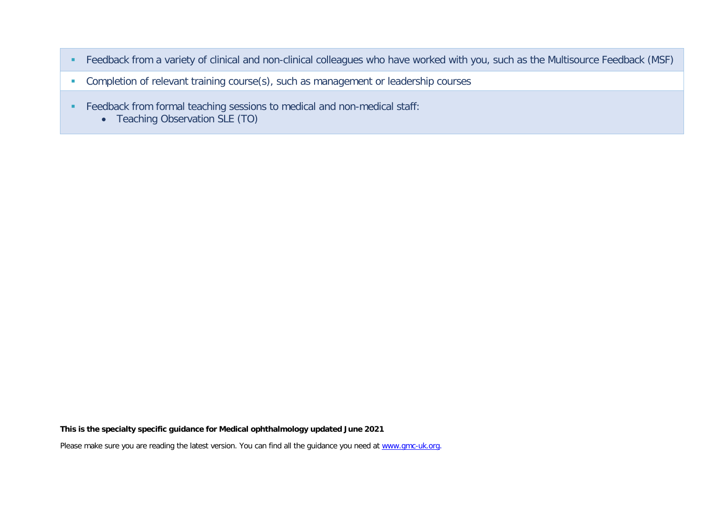- Feedback from a variety of clinical and non-clinical colleagues who have worked with you, such as the Multisource Feedback (MSF)
- **Completion of relevant training course(s), such as management or leadership courses**
- Feedback from formal teaching sessions to medical and non-medical staff:
	- Teaching Observation SLE (TO)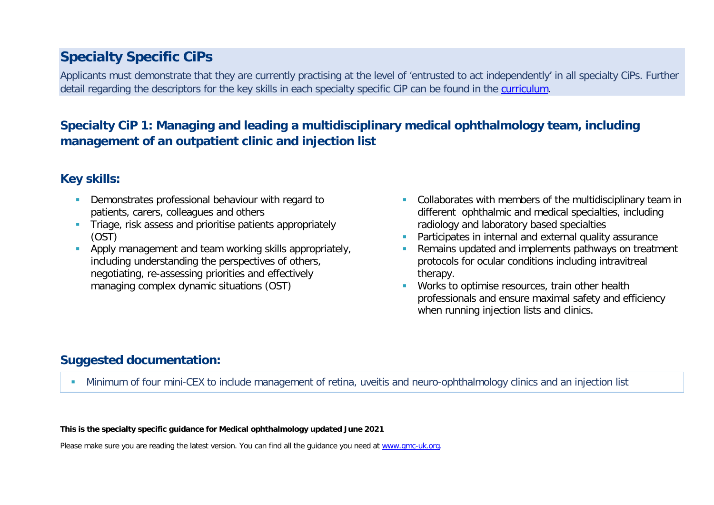# **Specialty Specific CiPs**

Applicants must demonstrate that they are currently practising at the level of 'entrusted to act independently' in all specialty CiPs. Further detail regarding the descriptors for the key skills in each specialty specific CiP can be found in the [curriculum.](https://www.gmc-uk.org/education/standards-guidance-and-curricula/curricula#T)

## **Specialty CiP 1: Managing and leading a multidisciplinary medical ophthalmology team, including management of an outpatient clinic and injection list**

## **Key skills:**

- Demonstrates professional behaviour with regard to patients, carers, colleagues and others
- **Triage, risk assess and prioritise patients appropriately** (OST)
- **Apply management and team working skills appropriately,** including understanding the perspectives of others, negotiating, re-assessing priorities and effectively managing complex dynamic situations (OST)
- Collaborates with members of the multidisciplinary team in different ophthalmic and medical specialties, including radiology and laboratory based specialties
- Participates in internal and external quality assurance
- Remains updated and implements pathways on treatment protocols for ocular conditions including intravitreal therapy.
- **Works to optimise resources, train other health** professionals and ensure maximal safety and efficiency when running injection lists and clinics.

## **Suggested documentation:**

Minimum of four mini-CEX to include management of retina, uveitis and neuro-ophthalmology clinics and an injection list

**This is the specialty specific guidance for Medical ophthalmology updated June 2021**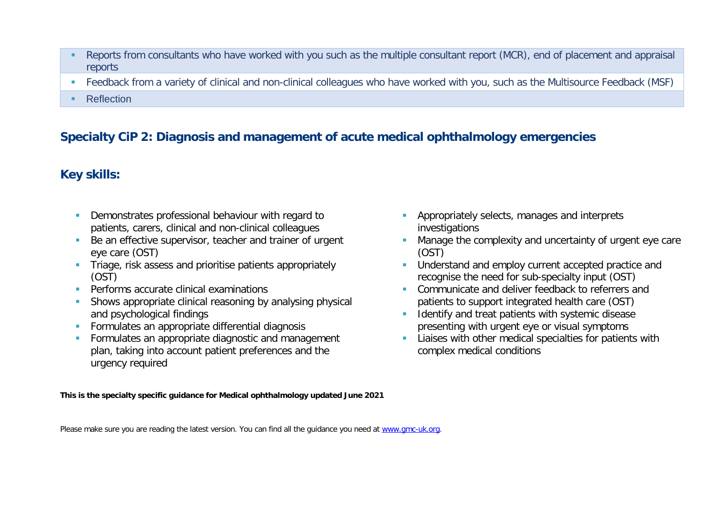- Reports from consultants who have worked with you such as the multiple consultant report (MCR), end of placement and appraisal reports
- Feedback from a variety of clinical and non-clinical colleagues who have worked with you, such as the Multisource Feedback (MSF)
- **Reflection**

## **Specialty CiP 2: Diagnosis and management of acute medical ophthalmology emergencies**

## **Key skills:**

- Demonstrates professional behaviour with regard to patients, carers, clinical and non-clinical colleagues
- Be an effective supervisor, teacher and trainer of urgent eye care (OST)
- **Triage, risk assess and prioritise patients appropriately** (OST)
- **Performs accurate clinical examinations**
- Shows appropriate clinical reasoning by analysing physical and psychological findings
- **Formulates an appropriate differential diagnosis**
- **Formulates an appropriate diagnostic and management** plan, taking into account patient preferences and the urgency required
- **Appropriately selects, manages and interprets** investigations
- **Manage the complexity and uncertainty of urgent eye care** (OST)
- **Understand and employ current accepted practice and** recognise the need for sub-specialty input (OST)
- **Communicate and deliver feedback to referrers and** patients to support integrated health care (OST)
- I Identify and treat patients with systemic disease presenting with urgent eye or visual symptoms
- **Liaises with other medical specialties for patients with** complex medical conditions

**This is the specialty specific guidance for Medical ophthalmology updated June 2021**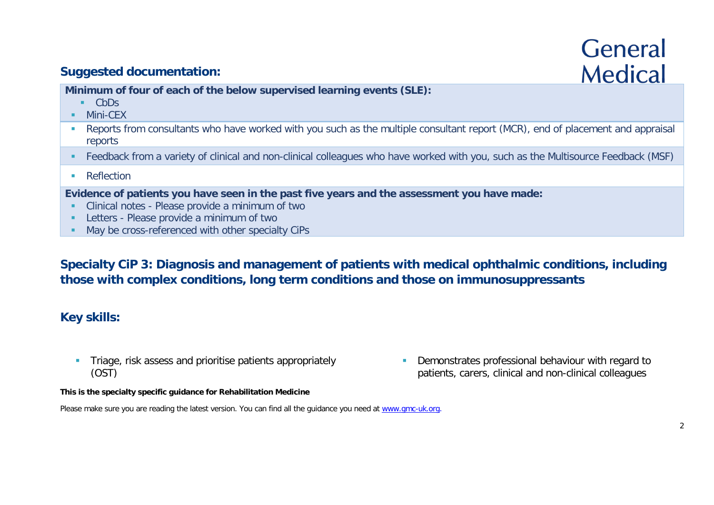# **General Medical**

## **Suggested documentation:**

**Minimum of four of each of the below supervised learning events (SLE):**

- CbDs
- **Mini-CEX**
- Reports from consultants who have worked with you such as the multiple consultant report (MCR), end of placement and appraisal reports
- Feedback from a variety of clinical and non-clinical colleagues who have worked with you, such as the Multisource Feedback (MSF)
- **Reflection**

**Evidence of patients you have seen in the past five years and the assessment you have made:**

- **EXECLINICAL PROCES** Please provide a minimum of two
- **Letters Please provide a minimum of two**
- May be cross-referenced with other specialty CiPs

**Specialty CiP 3: Diagnosis and management of patients with medical ophthalmic conditions, including those with complex conditions, long term conditions and those on immunosuppressants**

#### **Key skills:**

**Triage, risk assess and prioritise patients appropriately** (OST)

**Demonstrates professional behaviour with regard to** patients, carers, clinical and non-clinical colleagues

**This is the specialty specific guidance for Rehabilitation Medicine**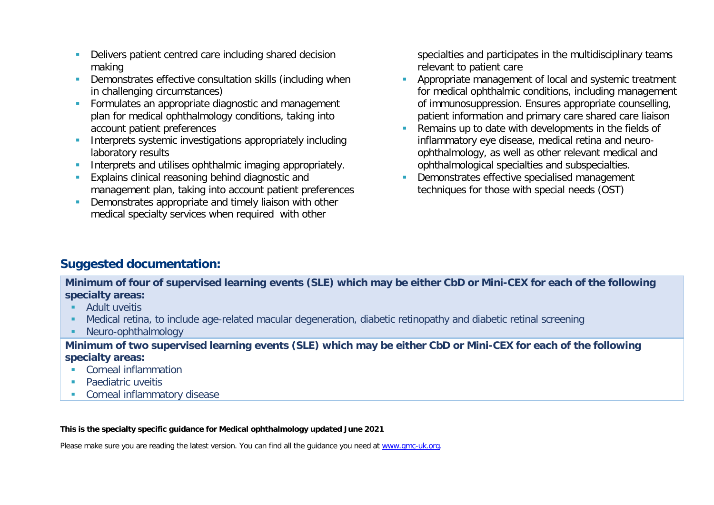- Delivers patient centred care including shared decision making
- **•** Demonstrates effective consultation skills (including when in challenging circumstances)
- **Formulates an appropriate diagnostic and management** plan for medical ophthalmology conditions, taking into account patient preferences
- **Interprets systemic investigations appropriately including** laboratory results
- **Interprets and utilises ophthalmic imaging appropriately.**
- **Explains clinical reasoning behind diagnostic and** management plan, taking into account patient preferences
- **•** Demonstrates appropriate and timely liaison with other medical specialty services when required with other

specialties and participates in the multidisciplinary teams relevant to patient care

- **Appropriate management of local and systemic treatment** for medical ophthalmic conditions, including management of immunosuppression. Ensures appropriate counselling, patient information and primary care shared care liaison
- Remains up to date with developments in the fields of inflammatory eye disease, medical retina and neuroophthalmology, as well as other relevant medical and ophthalmological specialties and subspecialties.
- **Demonstrates effective specialised management** techniques for those with special needs (OST)

## **Suggested documentation:**

**Minimum of four of supervised learning events (SLE) which may be either CbD or Mini-CEX for each of the following specialty areas:**

- **Adult uveitis**
- Medical retina, to include age-related macular degeneration, diabetic retinopathy and diabetic retinal screening
- Neuro-ophthalmology

**Minimum of two supervised learning events (SLE) which may be either CbD or Mini-CEX for each of the following specialty areas:**

- **Corneal inflammation**
- Paediatric uveitis
- **Corneal inflammatory disease**

#### **This is the specialty specific guidance for Medical ophthalmology updated June 2021**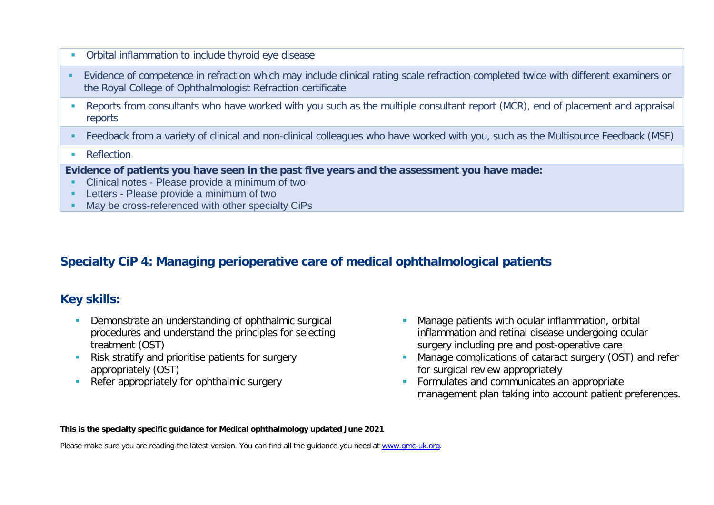- Orbital inflammation to include thyroid eye disease
- **Evidence of competence in refraction which may include clinical rating scale refraction completed twice with different examiners or** the Royal College of Ophthalmologist Refraction certificate
- Reports from consultants who have worked with you such as the multiple consultant report (MCR), end of placement and appraisal reports
- Feedback from a variety of clinical and non-clinical colleagues who have worked with you, such as the Multisource Feedback (MSF)
- **Reflection**

**Evidence of patients you have seen in the past five years and the assessment you have made:**

- **Clinical notes Please provide a minimum of two**
- **Letters Please provide a minimum of two**
- May be cross-referenced with other specialty CiPs

## **Specialty CiP 4: Managing perioperative care of medical ophthalmological patients**

## **Key skills:**

- Demonstrate an understanding of ophthalmic surgical procedures and understand the principles for selecting treatment (OST)
- **Risk stratify and prioritise patients for surgery** appropriately (OST)
- Refer appropriately for ophthalmic surgery
- **Manage patients with ocular inflammation, orbital** inflammation and retinal disease undergoing ocular surgery including pre and post-operative care
- **Manage complications of cataract surgery (OST) and refer** for surgical review appropriately
- **Formulates and communicates an appropriate** management plan taking into account patient preferences.

#### **This is the specialty specific guidance for Medical ophthalmology updated June 2021**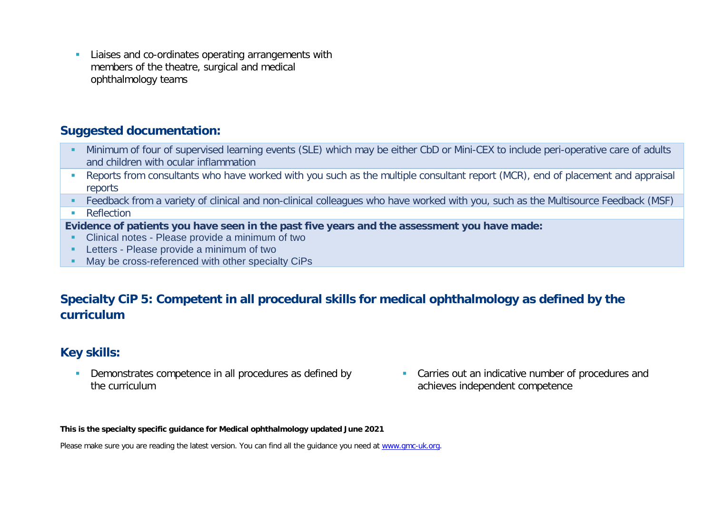**EXTERN** Liaises and co-ordinates operating arrangements with members of the theatre, surgical and medical ophthalmology teams

#### **Suggested documentation:**

- Minimum of four of supervised learning events (SLE) which may be either CbD or Mini-CEX to include peri-operative care of adults and children with ocular inflammation
- Reports from consultants who have worked with you such as the multiple consultant report (MCR), end of placement and appraisal reports
- Feedback from a variety of clinical and non-clinical colleagues who have worked with you, such as the Multisource Feedback (MSF)
- **Reflection**

**Evidence of patients you have seen in the past five years and the assessment you have made:**

- Clinical notes Please provide a minimum of two
- **Letters Please provide a minimum of two**
- **May be cross-referenced with other specialty CiPs**

## **Specialty CiP 5: Competent in all procedural skills for medical ophthalmology as defined by the curriculum**

## **Key skills:**

- Demonstrates competence in all procedures as defined by the curriculum
- **Carries out an indicative number of procedures and** achieves independent competence

**This is the specialty specific guidance for Medical ophthalmology updated June 2021**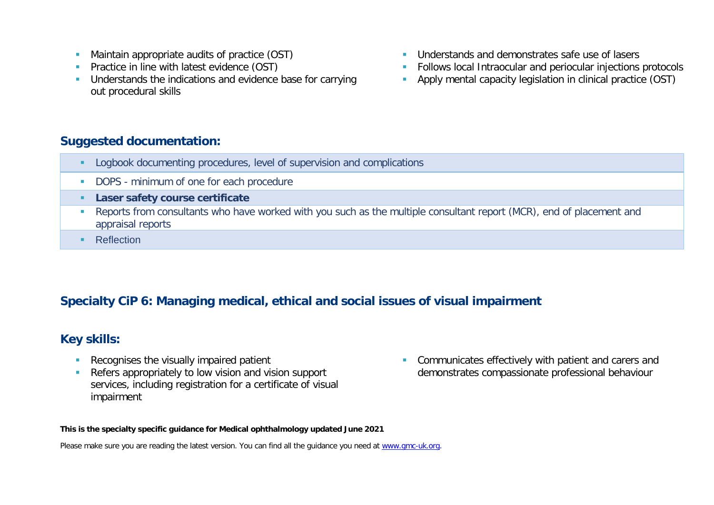- **Maintain appropriate audits of practice (OST)**
- **Practice in line with latest evidence (OST)**
- **Understands the indications and evidence base for carrying** out procedural skills
- **Understands and demonstrates safe use of lasers**
- Follows local Intraocular and periocular injections protocols
- Apply mental capacity legislation in clinical practice (OST)

#### **Suggested documentation:**

- **Logbook documenting procedures, level of supervision and complications**
- DOPS minimum of one for each procedure
- **Laser safety course certificate**
- Reports from consultants who have worked with you such as the multiple consultant report (MCR), end of placement and appraisal reports
- **Reflection**

# **Specialty CiP 6: Managing medical, ethical and social issues of visual impairment**

## **Key skills:**

- **Recognises the visually impaired patient**
- Refers appropriately to low vision and vision support services, including registration for a certificate of visual impairment

**Communicates effectively with patient and carers and** demonstrates compassionate professional behaviour

#### **This is the specialty specific guidance for Medical ophthalmology updated June 2021**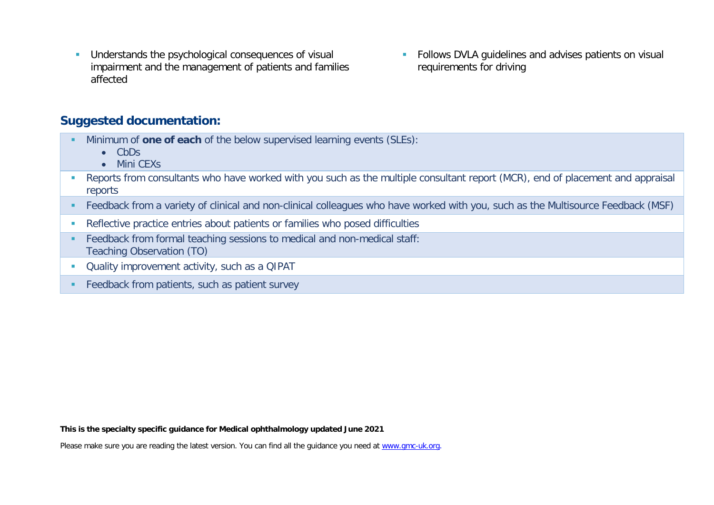- **Understands the psychological consequences of visual** impairment and the management of patients and families affected
- **Follows DVLA guidelines and advises patients on visual** requirements for driving

#### **Suggested documentation:**

- Minimum of **one of each** of the below supervised learning events (SLEs):
	- CbDs
	- Mini CEXs
- Reports from consultants who have worked with you such as the multiple consultant report (MCR), end of placement and appraisal reports
- Feedback from a variety of clinical and non-clinical colleagues who have worked with you, such as the Multisource Feedback (MSF)
- Reflective practice entries about patients or families who posed difficulties
- Feedback from formal teaching sessions to medical and non-medical staff: Teaching Observation (TO)
- **Duality improvement activity, such as a QIPAT**
- **Feedback from patients, such as patient survey**

**This is the specialty specific guidance for Medical ophthalmology updated June 2021**